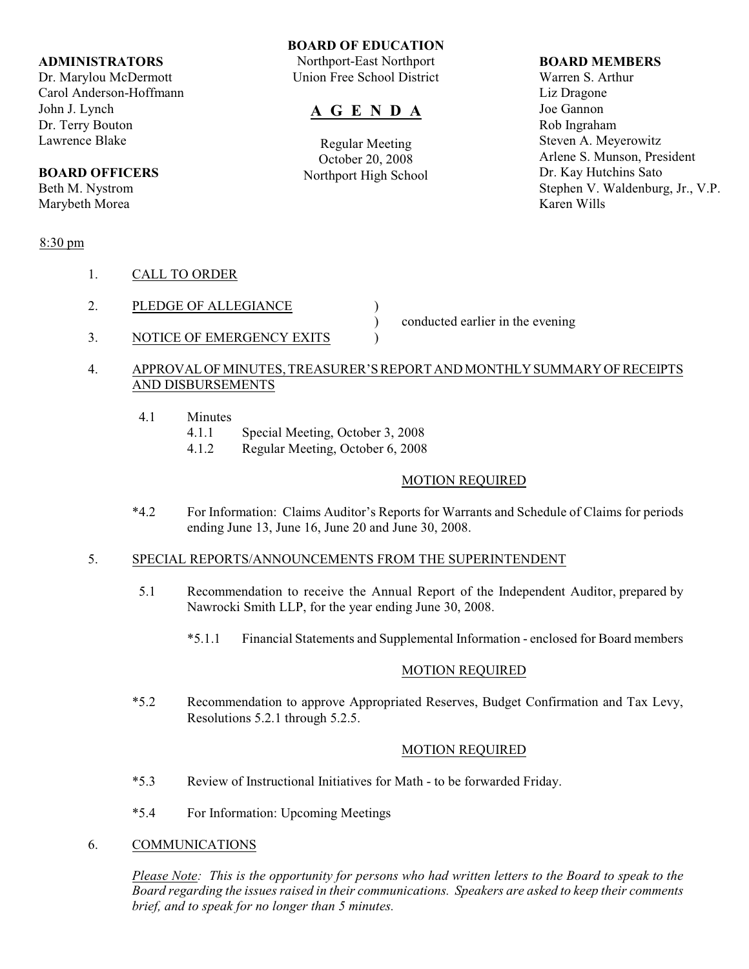#### **ADMINISTRATORS**

Dr. Marylou McDermott Carol Anderson-Hoffmann John J. Lynch Dr. Terry Bouton Lawrence Blake

## **BOARD OFFICERS**

Beth M. Nystrom Marybeth Morea

## 8:30 pm

- 1. CALL TO ORDER
- 2. PLEDGE OF ALLEGIANCE )
- 3. NOTICE OF EMERGENCY EXITS  $\qquad$

) conducted earlier in the evening

## 4. APPROVAL OF MINUTES, TREASURER'S REPORT AND MONTHLY SUMMARY OF RECEIPTS AND DISBURSEMENTS

- 4.1 Minutes
	- 4.1.1 Special Meeting, October 3, 2008
	- 4.1.2 Regular Meeting, October 6, 2008

#### MOTION REQUIRED

\*4.2 For Information: Claims Auditor's Reports for Warrants and Schedule of Claims for periods ending June 13, June 16, June 20 and June 30, 2008.

## 5. SPECIAL REPORTS/ANNOUNCEMENTS FROM THE SUPERINTENDENT

- 5.1 Recommendation to receive the Annual Report of the Independent Auditor, prepared by Nawrocki Smith LLP, for the year ending June 30, 2008.
	- \*5.1.1 Financial Statements and Supplemental Information enclosed for Board members

## MOTION REQUIRED

\*5.2 Recommendation to approve Appropriated Reserves, Budget Confirmation and Tax Levy, Resolutions 5.2.1 through 5.2.5.

## MOTION REQUIRED

- \*5.3 Review of Instructional Initiatives for Math to be forwarded Friday.
- \*5.4 For Information: Upcoming Meetings
- 6. COMMUNICATIONS

*Please Note: This is the opportunity for persons who had written letters to the Board to speak to the Board regarding the issues raised in their communications. Speakers are asked to keep their comments brief, and to speak for no longer than 5 minutes.*

#### **BOARD OF EDUCATION** Northport-East Northport

Union Free School District

# **A G E N D A**

Regular Meeting October 20, 2008 Northport High School

#### **BOARD MEMBERS**

Warren S. Arthur Liz Dragone Joe Gannon Rob Ingraham Steven A. Meyerowitz Arlene S. Munson, President Dr. Kay Hutchins Sato Stephen V. Waldenburg, Jr., V.P. Karen Wills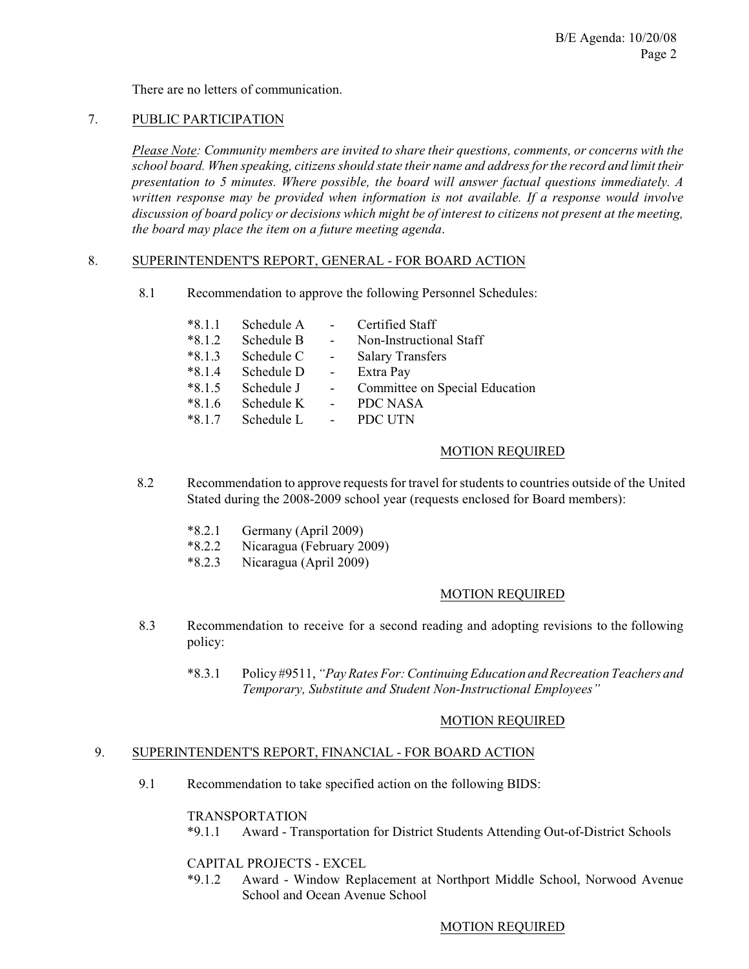There are no letters of communication.

#### 7. PUBLIC PARTICIPATION

*Please Note: Community members are invited to share their questions, comments, or concerns with the school board. When speaking, citizens should state their name and address for the record and limit their presentation to 5 minutes. Where possible, the board will answer factual questions immediately. A written response may be provided when information is not available. If a response would involve discussion of board policy or decisions which might be of interest to citizens not present at the meeting, the board may place the item on a future meeting agenda*.

#### 8. SUPERINTENDENT'S REPORT, GENERAL - FOR BOARD ACTION

8.1 Recommendation to approve the following Personnel Schedules:

| $*8.1.1$ | Schedule A | $\sim$         | Certified Staff                |
|----------|------------|----------------|--------------------------------|
| $*8.1.2$ | Schedule B | $\sim$ $-$     | Non-Instructional Staff        |
| $*8.1.3$ | Schedule C | $\sim$ $-$     | <b>Salary Transfers</b>        |
| $*8.1.4$ | Schedule D | $\sim$         | Extra Pay                      |
| $*8.1.5$ | Schedule J | $\sim$         | Committee on Special Education |
| $*8.1.6$ | Schedule K | $\blacksquare$ | <b>PDC NASA</b>                |
| $*8.1.7$ | Schedule L | $\blacksquare$ | PDC UTN                        |

#### MOTION REQUIRED

- 8.2 Recommendation to approve requestsfor travel for students to countries outside of the United Stated during the 2008-2009 school year (requests enclosed for Board members):
	- \*8.2.1 Germany (April 2009)
	- \*8.2.2 Nicaragua (February 2009)
	- \*8.2.3 Nicaragua (April 2009)

## MOTION REQUIRED

- 8.3 Recommendation to receive for a second reading and adopting revisions to the following policy:
	- \*8.3.1 Policy #9511, *"Pay Rates For: Continuing Education and Recreation Teachers and Temporary, Substitute and Student Non-Instructional Employees"*

## MOTION REQUIRED

#### 9. SUPERINTENDENT'S REPORT, FINANCIAL - FOR BOARD ACTION

9.1 Recommendation to take specified action on the following BIDS:

#### TRANSPORTATION

\*9.1.1 Award - Transportation for District Students Attending Out-of-District Schools

#### CAPITAL PROJECTS - EXCEL

\*9.1.2 Award - Window Replacement at Northport Middle School, Norwood Avenue School and Ocean Avenue School

## MOTION REQUIRED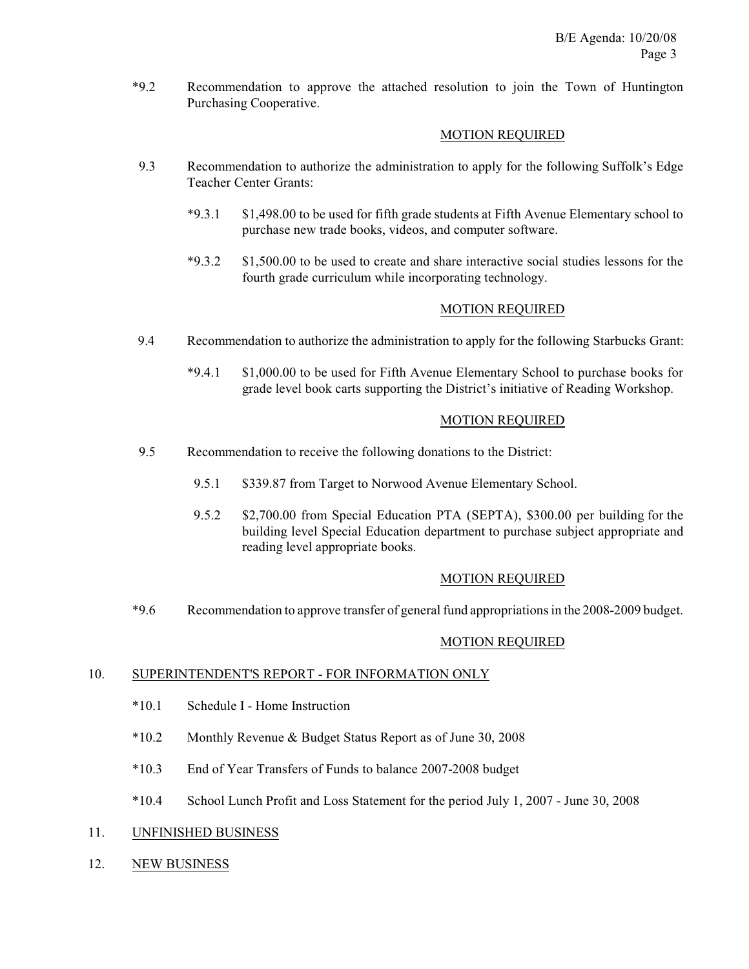\*9.2 Recommendation to approve the attached resolution to join the Town of Huntington Purchasing Cooperative.

## MOTION REQUIRED

- 9.3 Recommendation to authorize the administration to apply for the following Suffolk's Edge Teacher Center Grants:
	- \*9.3.1 \$1,498.00 to be used for fifth grade students at Fifth Avenue Elementary school to purchase new trade books, videos, and computer software.
	- \*9.3.2 \$1,500.00 to be used to create and share interactive social studies lessons for the fourth grade curriculum while incorporating technology.

## MOTION REQUIRED

- 9.4 Recommendation to authorize the administration to apply for the following Starbucks Grant:
	- \*9.4.1 \$1,000.00 to be used for Fifth Avenue Elementary School to purchase books for grade level book carts supporting the District's initiative of Reading Workshop.

## MOTION REQUIRED

- 9.5 Recommendation to receive the following donations to the District:
	- 9.5.1 \$339.87 from Target to Norwood Avenue Elementary School.
	- 9.5.2 \$2,700.00 from Special Education PTA (SEPTA), \$300.00 per building for the building level Special Education department to purchase subject appropriate and reading level appropriate books.

## MOTION REQUIRED

\*9.6 Recommendation to approve transfer of general fund appropriations in the 2008-2009 budget.

## MOTION REQUIRED

## 10. SUPERINTENDENT'S REPORT - FOR INFORMATION ONLY

- \*10.1 Schedule I Home Instruction
- \*10.2 Monthly Revenue & Budget Status Report as of June 30, 2008
- \*10.3 End of Year Transfers of Funds to balance 2007-2008 budget
- \*10.4 School Lunch Profit and Loss Statement for the period July 1, 2007 June 30, 2008

## 11. UNFINISHED BUSINESS

12. NEW BUSINESS